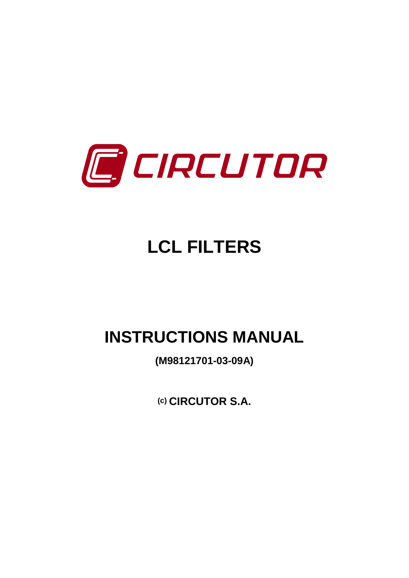

# **LCL FILTERS**

## **INSTRUCTIONS MANUAL**

**(M98121701-03-09A)**

**(c) CIRCUTOR S.A.**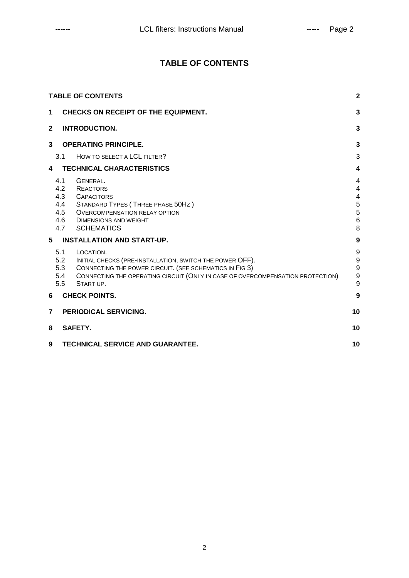## **TABLE OF CONTENTS**

| <b>TABLE OF CONTENTS</b> |                                            |                                                                                                                                                                                                                                 |                                                                  |  |
|--------------------------|--------------------------------------------|---------------------------------------------------------------------------------------------------------------------------------------------------------------------------------------------------------------------------------|------------------------------------------------------------------|--|
| $\mathbf 1$              | <b>CHECKS ON RECEIPT OF THE EQUIPMENT.</b> |                                                                                                                                                                                                                                 |                                                                  |  |
| $\mathbf{2}$             |                                            | <b>INTRODUCTION.</b>                                                                                                                                                                                                            | 3                                                                |  |
| 3                        |                                            | <b>OPERATING PRINCIPLE.</b>                                                                                                                                                                                                     | 3                                                                |  |
|                          | 3.1                                        | HOW TO SELECT A LCL FILTER?                                                                                                                                                                                                     | 3                                                                |  |
| 4                        |                                            | <b>TECHNICAL CHARACTERISTICS</b>                                                                                                                                                                                                | 4                                                                |  |
|                          | 4.1<br>4.2<br>4.4<br>4.5                   | GENERAL.<br><b>REACTORS</b><br>4.3 CAPACITORS<br>STANDARD TYPES (THREE PHASE 50HZ)<br>OVERCOMPENSATION RELAY OPTION<br>4.6 DIMENSIONS AND WEIGHT<br>4.7 SCHEMATICS                                                              | 4<br>4<br>$\overline{\mathbf{4}}$<br>$\frac{5}{5}$<br>$\,6$<br>8 |  |
| 5                        |                                            | <b>INSTALLATION AND START-UP.</b>                                                                                                                                                                                               | 9                                                                |  |
|                          | 5.1<br>5.2<br>5.3<br>5.4<br>5.5            | LOCATION.<br>INITIAL CHECKS (PRE-INSTALLATION, SWITCH THE POWER OFF).<br>CONNECTING THE POWER CIRCUIT. (SEE SCHEMATICS IN FIG 3)<br>CONNECTING THE OPERATING CIRCUIT (ONLY IN CASE OF OVERCOMPENSATION PROTECTION)<br>START UP. | 9<br>9<br>9<br>9<br>9                                            |  |
| 6                        |                                            | <b>CHECK POINTS.</b>                                                                                                                                                                                                            | 9                                                                |  |
| 7                        |                                            | <b>PERIODICAL SERVICING.</b>                                                                                                                                                                                                    | 10                                                               |  |
| 8                        |                                            | SAFETY.                                                                                                                                                                                                                         | 10                                                               |  |
| 9                        |                                            | <b>TECHNICAL SERVICE AND GUARANTEE.</b>                                                                                                                                                                                         | 10                                                               |  |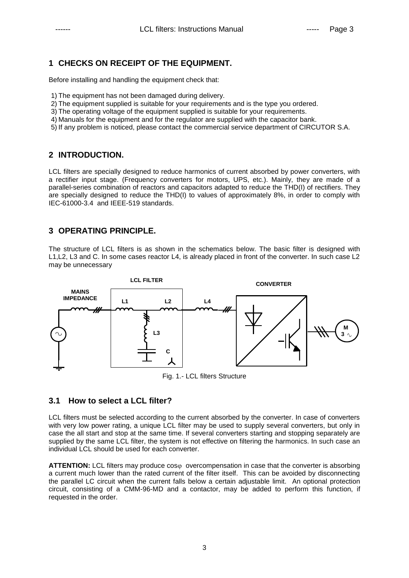## **1 CHECKS ON RECEIPT OF THE EQUIPMENT.**

Before installing and handling the equipment check that:

- 1) The equipment has not been damaged during delivery.
- 2) The equipment supplied is suitable for your requirements and is the type you ordered.
- 3) The operating voltage of the equipment supplied is suitable for your requirements.
- 4) Manuals for the equipment and for the regulator are supplied with the capacitor bank.
- 5) If any problem is noticed, please contact the commercial service department of CIRCUTOR S.A.

#### **2 INTRODUCTION.**

LCL filters are specially designed to reduce harmonics of current absorbed by power converters, with a rectifier input stage. (Frequency converters for motors, UPS, etc.). Mainly, they are made of a parallel-series combination of reactors and capacitors adapted to reduce the THD(I) of rectifiers. They are specially designed to reduce the THD(I) to values of approximately 8%, in order to comply with IEC-61000-3.4 and IEEE-519 standards.

#### **3 OPERATING PRINCIPLE.**

The structure of LCL filters is as shown in the schematics below. The basic filter is designed with L1,L2, L3 and C. In some cases reactor L4, is already placed in front of the converter. In such case L2 may be unnecessary



#### **3.1 How to select a LCL filter?**

LCL filters must be selected according to the current absorbed by the converter. In case of converters with very low power rating, a unique LCL filter may be used to supply several converters, but only in case the all start and stop at the same time. If several converters starting and stopping separately are supplied by the same LCL filter, the system is not effective on filtering the harmonics. In such case an individual LCL should be used for each converter.

**ATTENTION:** LCL filters may produce cos<sub>0</sub> overcompensation in case that the converter is absorbing a current much lower than the rated current of the filter itself. This can be avoided by disconnecting the parallel LC circuit when the current falls below a certain adjustable limit. An optional protection circuit, consisting of a CMM-96-MD and a contactor, may be added to perform this function, if requested in the order.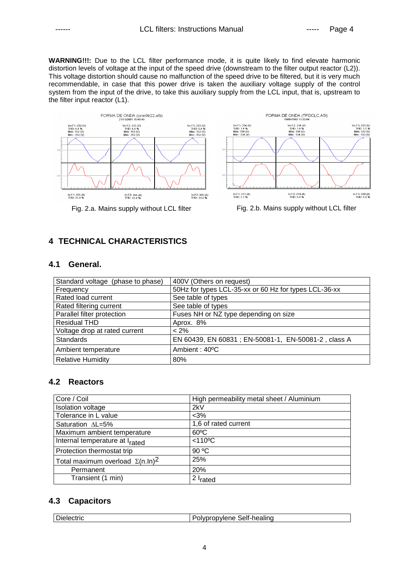**WARNING!!!:** Due to the LCL filter performance mode, it is quite likely to find elevate harmonic distortion levels of voltage at the input of the speed drive (downstream to the filter output reactor (L2)). This voltage distortion should cause no malfunction of the speed drive to be filtered, but it is very much recommendable, in case that this power drive is taken the auxiliary voltage supply of the control system from the input of the drive, to take this auxiliary supply from the LCL input, that is, upstream to the filter input reactor (L1).





Fig. 2.a. Mains supply without LCL filter Fig. 2.b. Mains supply without LCL filter

## **4 TECHNICAL CHARACTERISTICS**

#### **4.1 General.**

| Standard voltage (phase to phase) | 400V (Others on request)                              |  |  |
|-----------------------------------|-------------------------------------------------------|--|--|
| Frequency                         | 50Hz for types LCL-35-xx or 60 Hz for types LCL-36-xx |  |  |
| Rated load current                | See table of types                                    |  |  |
| Rated filtering current           | See table of types                                    |  |  |
| Parallel filter protection        | Fuses NH or NZ type depending on size                 |  |  |
| <b>Residual THD</b>               | Aprox. 8%                                             |  |  |
| Voltage drop at rated current     | $< 2\%$                                               |  |  |
| <b>Standards</b>                  | EN 60439, EN 60831; EN-50081-1, EN-50081-2, class A   |  |  |
| Ambient temperature               | Ambient: 40°C                                         |  |  |
| <b>Relative Humidity</b>          | 80%                                                   |  |  |

## **4.2 Reactors**

| Core / Coil                                | High permeability metal sheet / Aluminium |  |  |
|--------------------------------------------|-------------------------------------------|--|--|
| <b>Isolation voltage</b>                   | 2kV                                       |  |  |
| Tolerance in L value                       | $<$ 3%                                    |  |  |
| Saturation AL=5%                           | 1,6 of rated current                      |  |  |
| Maximum ambient temperature                | $60^{\circ}$ C                            |  |  |
| Internal temperature at I <sub>rated</sub> | $<$ 110 $\degree$ C                       |  |  |
| Protection thermostat trip                 | 90 °C                                     |  |  |
| Total maximum overload $\Sigma(n.\ln)^2$   | 25%                                       |  |  |
| Permanent                                  | 20%                                       |  |  |
| Transient (1 min)                          | 12 I <sub>rated</sub>                     |  |  |

## **4.3 Capacitors**

| $\sim$<br>.<br><b>Jielec</b><br>:CINC | Selt-healind<br>- - -<br>wene<br>,,,,<br>,,,,, |
|---------------------------------------|------------------------------------------------|
|                                       |                                                |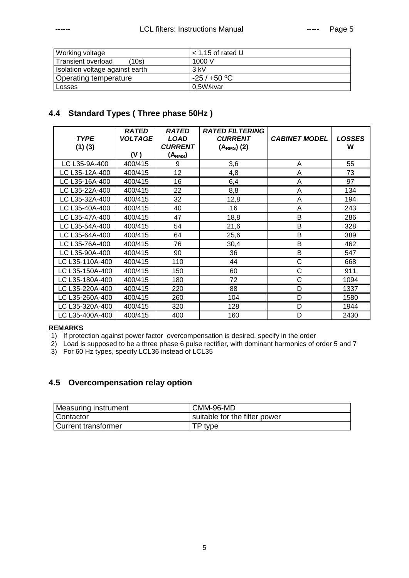| Working voltage                    | $<$ 1.15 of rated U |
|------------------------------------|---------------------|
| <b>Transient overload</b><br>(10s) | 1000V               |
| Isolation voltage against earth    | $3$ kV              |
| Operating temperature              | $-25/+50 °C$        |
| Losses                             | 0.5W/kvar           |

## **4.4 Standard Types ( Three phase 50Hz )**

| <b>TYPE</b><br>$(1)$ $(3)$ | <b>RATED</b><br><b>VOLTAGE</b> | <b>RATED</b><br><b>LOAD</b><br><b>CURRENT</b> | <b>RATED FILTERING</b><br><b>CURRENT</b><br>$(ARMS)$ (2) | <b>CABINET MODEL</b> | <b>LOSSES</b><br>W |
|----------------------------|--------------------------------|-----------------------------------------------|----------------------------------------------------------|----------------------|--------------------|
|                            | (V)                            | (A <sub>RMS</sub> )                           |                                                          |                      |                    |
| LC L35-9A-400              | 400/415                        | 9                                             | 3,6                                                      | A                    | 55                 |
| LC L35-12A-400             | 400/415                        | 12                                            | 4,8                                                      | Α                    | 73                 |
| LC L35-16A-400             | 400/415                        | 16                                            | 6,4                                                      | Α                    | 97                 |
| LC L35-22A-400             | 400/415                        | 22                                            | 8,8                                                      | Α                    | 134                |
| LC L35-32A-400             | 400/415                        | 32                                            | 12,8                                                     | A                    | 194                |
| LC L35-40A-400             | 400/415                        | 40                                            | 16                                                       | Α                    | 243                |
| LC L35-47A-400             | 400/415                        | 47                                            | 18,8                                                     | B                    | 286                |
| LC L35-54A-400             | 400/415                        | 54                                            | 21,6                                                     | B                    | 328                |
| LC L35-64A-400             | 400/415                        | 64                                            | 25,6                                                     | B                    | 389                |
| LC L35-76A-400             | 400/415                        | 76                                            | 30,4                                                     | B                    | 462                |
| LC L35-90A-400             | 400/415                        | 90                                            | 36                                                       | B                    | 547                |
| LC L35-110A-400            | 400/415                        | 110                                           | 44                                                       | C                    | 668                |
| LC L35-150A-400            | 400/415                        | 150                                           | 60                                                       | C                    | 911                |
| LC L35-180A-400            | 400/415                        | 180                                           | 72                                                       | C                    | 1094               |
| LC L35-220A-400            | 400/415                        | 220                                           | 88                                                       | D                    | 1337               |
| LC L35-260A-400            | 400/415                        | 260                                           | 104                                                      | D                    | 1580               |
| LC L35-320A-400            | 400/415                        | 320                                           | 128                                                      | D                    | 1944               |
| LC L35-400A-400            | 400/415                        | 400                                           | 160                                                      | D                    | 2430               |

#### **REMARKS**

1) If protection against power factor overcompensation is desired, specify in the order

2) Load is supposed to be a three phase 6 pulse rectifier, with dominant harmonics of order 5 and 7

3) For 60 Hz types, specify LCL36 instead of LCL35

## **4.5 Overcompensation relay option**

| Measuring instrument | CMM-96-MD                     |
|----------------------|-------------------------------|
| Contactor            | suitable for the filter power |
| Current transformer  | TP tvpe                       |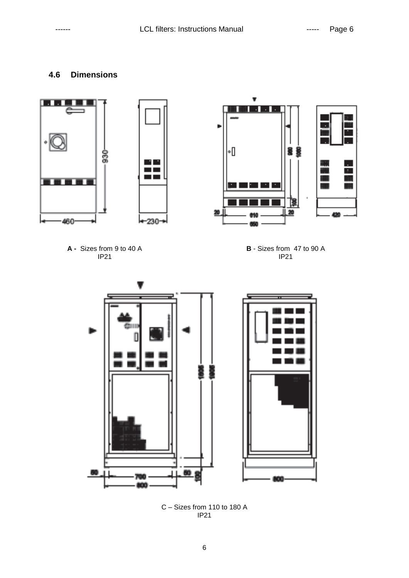## **4.6 Dimensions**



C – Sizes from 110 to 180 A IP21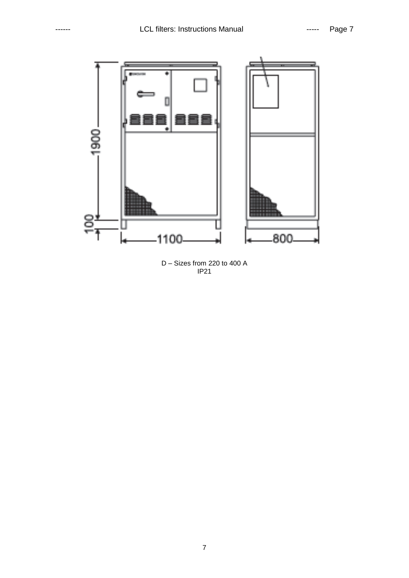

D – Sizes from 220 to 400 A IP21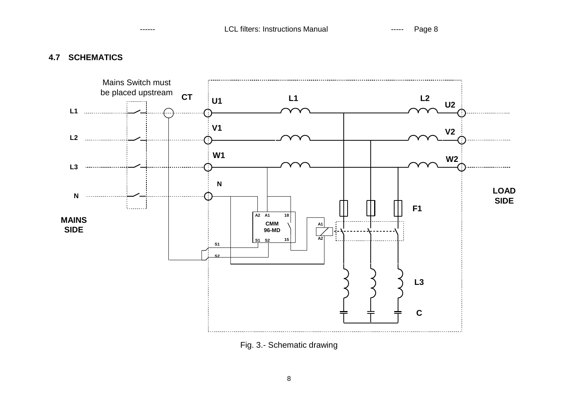## **4.7 SCHEMATICS**



Fig. 3.- Schematic drawing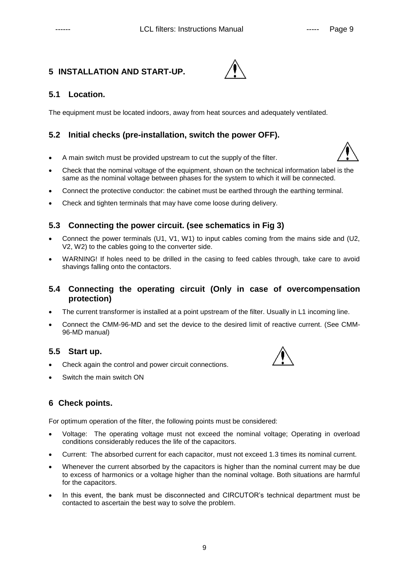## **5 INSTALLATION AND START-UP.**



## **5.1 Location.**

The equipment must be located indoors, away from heat sources and adequately ventilated.

## **5.2 Initial checks (pre-installation, switch the power OFF).**

- A main switch must be provided upstream to cut the supply of the filter.
- Check that the nominal voltage of the equipment, shown on the technical information label is the same as the nominal voltage between phases for the system to which it will be connected.
- Connect the protective conductor: the cabinet must be earthed through the earthing terminal.
- Check and tighten terminals that may have come loose during delivery.

## **5.3 Connecting the power circuit. (see schematics in Fig 3)**

- Connect the power terminals (U1, V1, W1) to input cables coming from the mains side and (U2, V2, W2) to the cables going to the converter side.
- WARNING! If holes need to be drilled in the casing to feed cables through, take care to avoid shavings falling onto the contactors.

#### **5.4 Connecting the operating circuit (Only in case of overcompensation protection)**

- The current transformer is installed at a point upstream of the filter. Usually in L1 incoming line.
- Connect the CMM-96-MD and set the device to the desired limit of reactive current. (See CMM-96-MD manual)

## **5.5 Start up.**

- Check again the control and power circuit connections.
- Switch the main switch ON



## **6 Check points.**

For optimum operation of the filter, the following points must be considered:

- Voltage: The operating voltage must not exceed the nominal voltage; Operating in overload conditions considerably reduces the life of the capacitors.
- Current: The absorbed current for each capacitor, must not exceed 1.3 times its nominal current.
- Whenever the current absorbed by the capacitors is higher than the nominal current may be due to excess of harmonics or a voltage higher than the nominal voltage. Both situations are harmful for the capacitors.
- In this event, the bank must be disconnected and CIRCUTOR's technical department must be contacted to ascertain the best way to solve the problem.